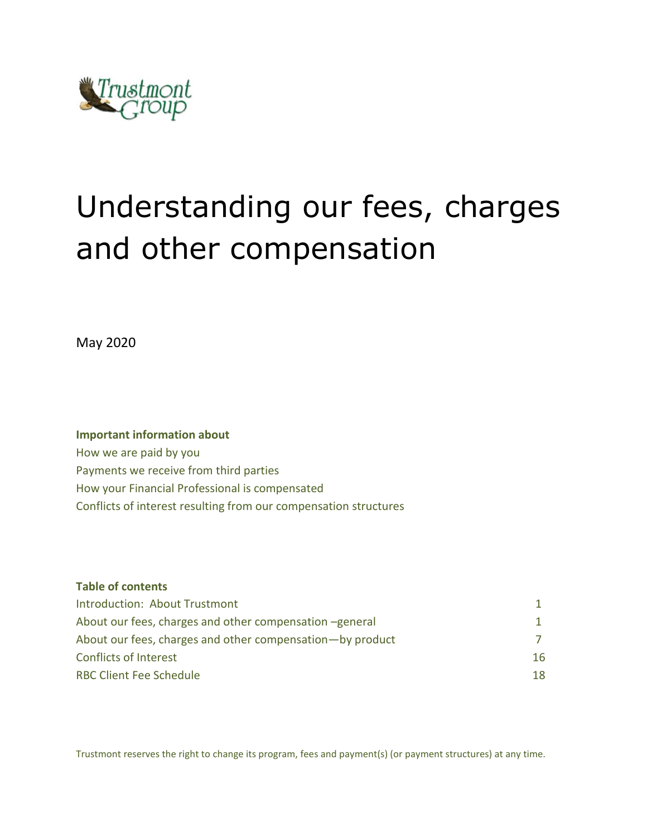

# Understanding our fees, charges and other compensation

May 2020

## **Important information about** How we are paid by you Payments we receive from third parties How your Financial Professional is compensated Conflicts of interest resulting from our compensation structures

| <b>Table of contents</b>                                  |    |
|-----------------------------------------------------------|----|
| Introduction: About Trustmont                             |    |
| About our fees, charges and other compensation -general   |    |
| About our fees, charges and other compensation—by product |    |
| <b>Conflicts of Interest</b>                              | 16 |
| <b>RBC Client Fee Schedule</b>                            | 18 |

Trustmont reserves the right to change its program, fees and payment(s) (or payment structures) at any time.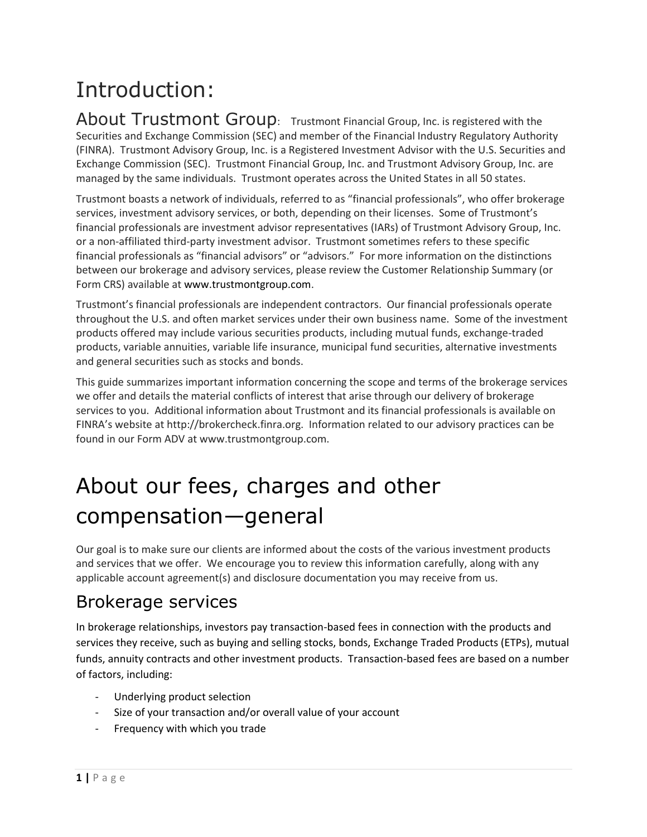## Introduction:

About Trustmont Group: Trustmont Financial Group, Inc. is registered with the Securities and Exchange Commission (SEC) and member of the Financial Industry Regulatory Authority (FINRA). Trustmont Advisory Group, Inc. is a Registered Investment Advisor with the U.S. Securities and Exchange Commission (SEC). Trustmont Financial Group, Inc. and Trustmont Advisory Group, Inc. are managed by the same individuals. Trustmont operates across the United States in all 50 states.

Trustmont boasts a network of individuals, referred to as "financial professionals", who offer brokerage services, investment advisory services, or both, depending on their licenses. Some of Trustmont's financial professionals are investment advisor representatives (IARs) of Trustmont Advisory Group, Inc. or a non-affiliated third-party investment advisor. Trustmont sometimes refers to these specific financial professionals as "financial advisors" or "advisors." For more information on the distinctions between our brokerage and advisory services, please review the Customer Relationship Summary (or Form CRS) available at www.trustmontgroup.com.

Trustmont's financial professionals are independent contractors. Our financial professionals operate throughout the U.S. and often market services under their own business name. Some of the investment products offered may include various securities products, including mutual funds, exchange-traded products, variable annuities, variable life insurance, municipal fund securities, alternative investments and general securities such as stocks and bonds.

This guide summarizes important information concerning the scope and terms of the brokerage services we offer and details the material conflicts of interest that arise through our delivery of brokerage services to you. Additional information about Trustmont and its financial professionals is available on FINRA's website at http://brokercheck.finra.org. Information related to our advisory practices can be found in our Form ADV at www.trustmontgroup.com.

## About our fees, charges and other compensation—general

Our goal is to make sure our clients are informed about the costs of the various investment products and services that we offer. We encourage you to review this information carefully, along with any applicable account agreement(s) and disclosure documentation you may receive from us.

## Brokerage services

In brokerage relationships, investors pay transaction-based fees in connection with the products and services they receive, such as buying and selling stocks, bonds, Exchange Traded Products (ETPs), mutual funds, annuity contracts and other investment products. Transaction-based fees are based on a number of factors, including:

- Underlying product selection
- Size of your transaction and/or overall value of your account
- Frequency with which you trade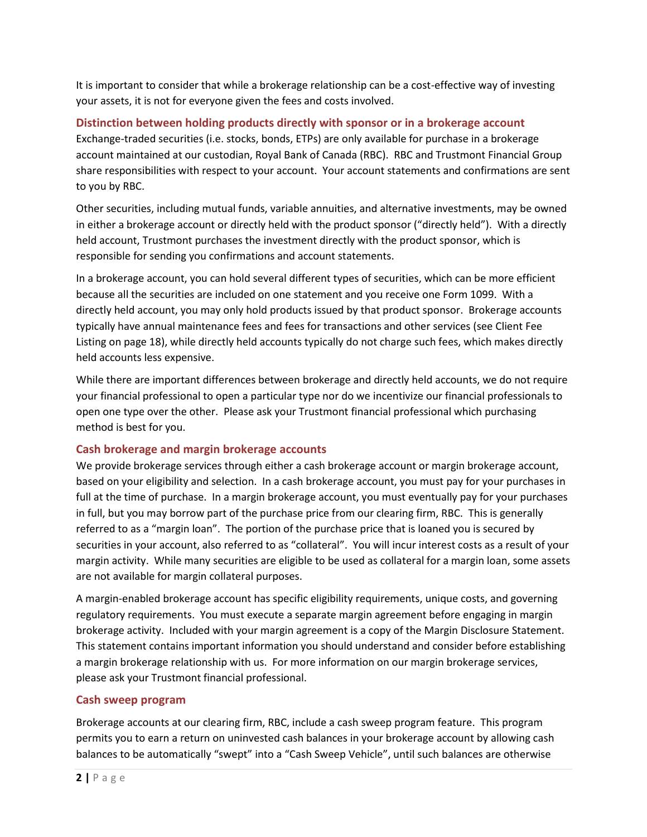It is important to consider that while a brokerage relationship can be a cost-effective way of investing your assets, it is not for everyone given the fees and costs involved.

**Distinction between holding products directly with sponsor or in a brokerage account**  Exchange-traded securities (i.e. stocks, bonds, ETPs) are only available for purchase in a brokerage account maintained at our custodian, Royal Bank of Canada (RBC). RBC and Trustmont Financial Group share responsibilities with respect to your account. Your account statements and confirmations are sent to you by RBC.

Other securities, including mutual funds, variable annuities, and alternative investments, may be owned in either a brokerage account or directly held with the product sponsor ("directly held"). With a directly held account, Trustmont purchases the investment directly with the product sponsor, which is responsible for sending you confirmations and account statements.

In a brokerage account, you can hold several different types of securities, which can be more efficient because all the securities are included on one statement and you receive one Form 1099. With a directly held account, you may only hold products issued by that product sponsor. Brokerage accounts typically have annual maintenance fees and fees for transactions and other services (see Client Fee Listing on page 18), while directly held accounts typically do not charge such fees, which makes directly held accounts less expensive.

While there are important differences between brokerage and directly held accounts, we do not require your financial professional to open a particular type nor do we incentivize our financial professionals to open one type over the other. Please ask your Trustmont financial professional which purchasing method is best for you.

## **Cash brokerage and margin brokerage accounts**

We provide brokerage services through either a cash brokerage account or margin brokerage account, based on your eligibility and selection. In a cash brokerage account, you must pay for your purchases in full at the time of purchase. In a margin brokerage account, you must eventually pay for your purchases in full, but you may borrow part of the purchase price from our clearing firm, RBC. This is generally referred to as a "margin loan". The portion of the purchase price that is loaned you is secured by securities in your account, also referred to as "collateral". You will incur interest costs as a result of your margin activity. While many securities are eligible to be used as collateral for a margin loan, some assets are not available for margin collateral purposes.

A margin-enabled brokerage account has specific eligibility requirements, unique costs, and governing regulatory requirements. You must execute a separate margin agreement before engaging in margin brokerage activity. Included with your margin agreement is a copy of the Margin Disclosure Statement. This statement contains important information you should understand and consider before establishing a margin brokerage relationship with us. For more information on our margin brokerage services, please ask your Trustmont financial professional.

## **Cash sweep program**

Brokerage accounts at our clearing firm, RBC, include a cash sweep program feature. This program permits you to earn a return on uninvested cash balances in your brokerage account by allowing cash balances to be automatically "swept" into a "Cash Sweep Vehicle", until such balances are otherwise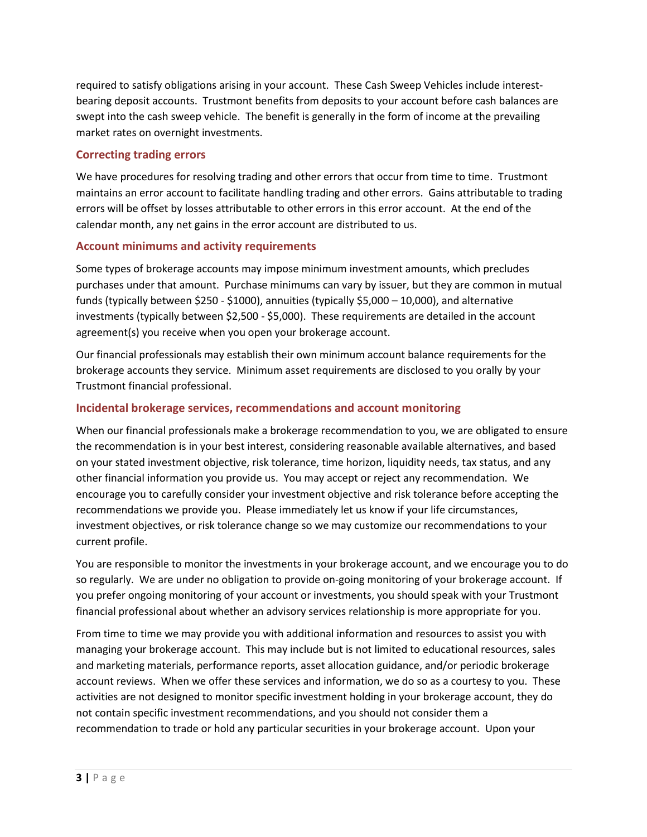required to satisfy obligations arising in your account. These Cash Sweep Vehicles include interestbearing deposit accounts. Trustmont benefits from deposits to your account before cash balances are swept into the cash sweep vehicle. The benefit is generally in the form of income at the prevailing market rates on overnight investments.

## **Correcting trading errors**

We have procedures for resolving trading and other errors that occur from time to time. Trustmont maintains an error account to facilitate handling trading and other errors. Gains attributable to trading errors will be offset by losses attributable to other errors in this error account. At the end of the calendar month, any net gains in the error account are distributed to us.

## **Account minimums and activity requirements**

Some types of brokerage accounts may impose minimum investment amounts, which precludes purchases under that amount. Purchase minimums can vary by issuer, but they are common in mutual funds (typically between \$250 - \$1000), annuities (typically \$5,000 – 10,000), and alternative investments (typically between \$2,500 - \$5,000). These requirements are detailed in the account agreement(s) you receive when you open your brokerage account.

Our financial professionals may establish their own minimum account balance requirements for the brokerage accounts they service. Minimum asset requirements are disclosed to you orally by your Trustmont financial professional.

## **Incidental brokerage services, recommendations and account monitoring**

When our financial professionals make a brokerage recommendation to you, we are obligated to ensure the recommendation is in your best interest, considering reasonable available alternatives, and based on your stated investment objective, risk tolerance, time horizon, liquidity needs, tax status, and any other financial information you provide us. You may accept or reject any recommendation. We encourage you to carefully consider your investment objective and risk tolerance before accepting the recommendations we provide you. Please immediately let us know if your life circumstances, investment objectives, or risk tolerance change so we may customize our recommendations to your current profile.

You are responsible to monitor the investments in your brokerage account, and we encourage you to do so regularly. We are under no obligation to provide on-going monitoring of your brokerage account. If you prefer ongoing monitoring of your account or investments, you should speak with your Trustmont financial professional about whether an advisory services relationship is more appropriate for you.

From time to time we may provide you with additional information and resources to assist you with managing your brokerage account. This may include but is not limited to educational resources, sales and marketing materials, performance reports, asset allocation guidance, and/or periodic brokerage account reviews. When we offer these services and information, we do so as a courtesy to you. These activities are not designed to monitor specific investment holding in your brokerage account, they do not contain specific investment recommendations, and you should not consider them a recommendation to trade or hold any particular securities in your brokerage account. Upon your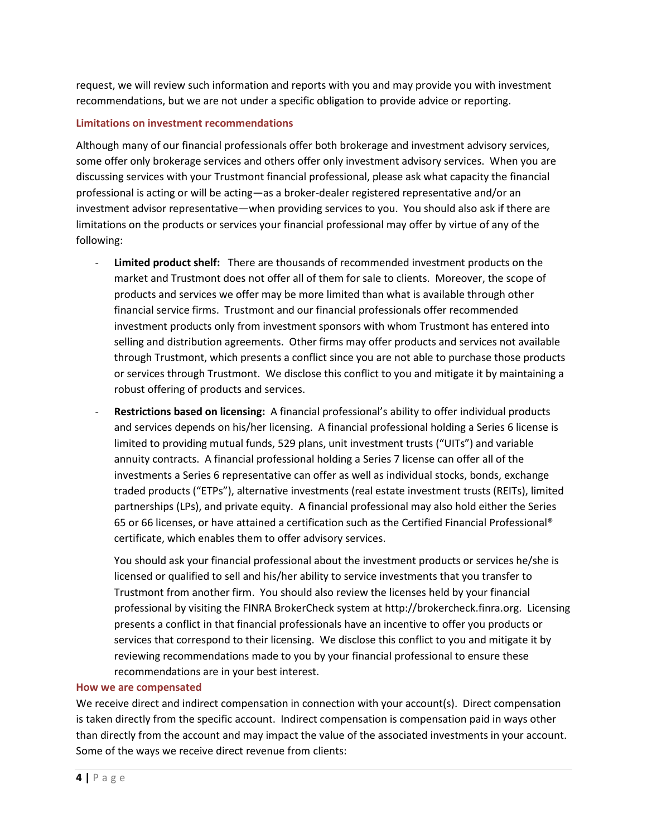request, we will review such information and reports with you and may provide you with investment recommendations, but we are not under a specific obligation to provide advice or reporting.

## **Limitations on investment recommendations**

Although many of our financial professionals offer both brokerage and investment advisory services, some offer only brokerage services and others offer only investment advisory services. When you are discussing services with your Trustmont financial professional, please ask what capacity the financial professional is acting or will be acting—as a broker-dealer registered representative and/or an investment advisor representative—when providing services to you. You should also ask if there are limitations on the products or services your financial professional may offer by virtue of any of the following:

- Limited product shelf: There are thousands of recommended investment products on the market and Trustmont does not offer all of them for sale to clients. Moreover, the scope of products and services we offer may be more limited than what is available through other financial service firms. Trustmont and our financial professionals offer recommended investment products only from investment sponsors with whom Trustmont has entered into selling and distribution agreements. Other firms may offer products and services not available through Trustmont, which presents a conflict since you are not able to purchase those products or services through Trustmont. We disclose this conflict to you and mitigate it by maintaining a robust offering of products and services.
- **Restrictions based on licensing:** A financial professional's ability to offer individual products and services depends on his/her licensing. A financial professional holding a Series 6 license is limited to providing mutual funds, 529 plans, unit investment trusts ("UITs") and variable annuity contracts. A financial professional holding a Series 7 license can offer all of the investments a Series 6 representative can offer as well as individual stocks, bonds, exchange traded products ("ETPs"), alternative investments (real estate investment trusts (REITs), limited partnerships (LPs), and private equity. A financial professional may also hold either the Series 65 or 66 licenses, or have attained a certification such as the Certified Financial Professional® certificate, which enables them to offer advisory services.

You should ask your financial professional about the investment products or services he/she is licensed or qualified to sell and his/her ability to service investments that you transfer to Trustmont from another firm. You should also review the licenses held by your financial professional by visiting the FINRA BrokerCheck system at http://brokercheck.finra.org. Licensing presents a conflict in that financial professionals have an incentive to offer you products or services that correspond to their licensing. We disclose this conflict to you and mitigate it by reviewing recommendations made to you by your financial professional to ensure these recommendations are in your best interest.

#### **How we are compensated**

We receive direct and indirect compensation in connection with your account(s). Direct compensation is taken directly from the specific account. Indirect compensation is compensation paid in ways other than directly from the account and may impact the value of the associated investments in your account. Some of the ways we receive direct revenue from clients: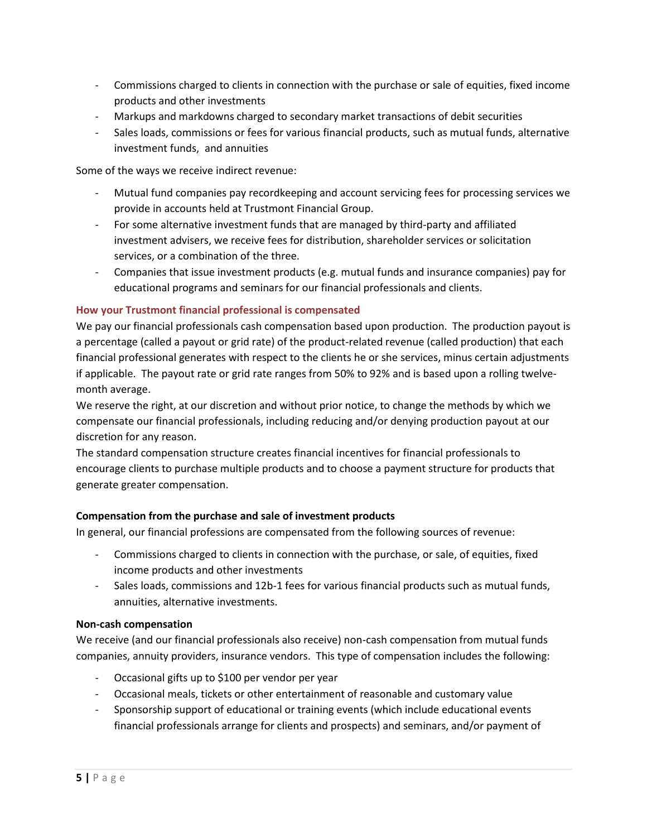- Commissions charged to clients in connection with the purchase or sale of equities, fixed income products and other investments
- Markups and markdowns charged to secondary market transactions of debit securities
- Sales loads, commissions or fees for various financial products, such as mutual funds, alternative investment funds, and annuities

Some of the ways we receive indirect revenue:

- Mutual fund companies pay recordkeeping and account servicing fees for processing services we provide in accounts held at Trustmont Financial Group.
- For some alternative investment funds that are managed by third-party and affiliated investment advisers, we receive fees for distribution, shareholder services or solicitation services, or a combination of the three.
- Companies that issue investment products (e.g. mutual funds and insurance companies) pay for educational programs and seminars for our financial professionals and clients.

## **How your Trustmont financial professional is compensated**

We pay our financial professionals cash compensation based upon production. The production payout is a percentage (called a payout or grid rate) of the product-related revenue (called production) that each financial professional generates with respect to the clients he or she services, minus certain adjustments if applicable. The payout rate or grid rate ranges from 50% to 92% and is based upon a rolling twelvemonth average.

We reserve the right, at our discretion and without prior notice, to change the methods by which we compensate our financial professionals, including reducing and/or denying production payout at our discretion for any reason.

The standard compensation structure creates financial incentives for financial professionals to encourage clients to purchase multiple products and to choose a payment structure for products that generate greater compensation.

## **Compensation from the purchase and sale of investment products**

In general, our financial professions are compensated from the following sources of revenue:

- Commissions charged to clients in connection with the purchase, or sale, of equities, fixed income products and other investments
- Sales loads, commissions and 12b-1 fees for various financial products such as mutual funds, annuities, alternative investments.

## **Non-cash compensation**

We receive (and our financial professionals also receive) non-cash compensation from mutual funds companies, annuity providers, insurance vendors. This type of compensation includes the following:

- Occasional gifts up to \$100 per vendor per year
- Occasional meals, tickets or other entertainment of reasonable and customary value
- Sponsorship support of educational or training events (which include educational events financial professionals arrange for clients and prospects) and seminars, and/or payment of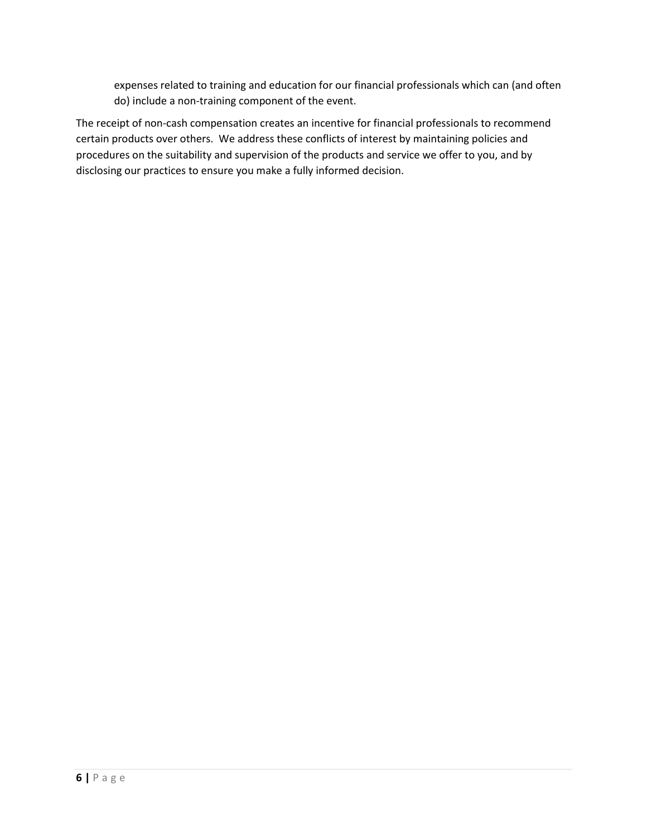expenses related to training and education for our financial professionals which can (and often do) include a non-training component of the event.

The receipt of non-cash compensation creates an incentive for financial professionals to recommend certain products over others. We address these conflicts of interest by maintaining policies and procedures on the suitability and supervision of the products and service we offer to you, and by disclosing our practices to ensure you make a fully informed decision.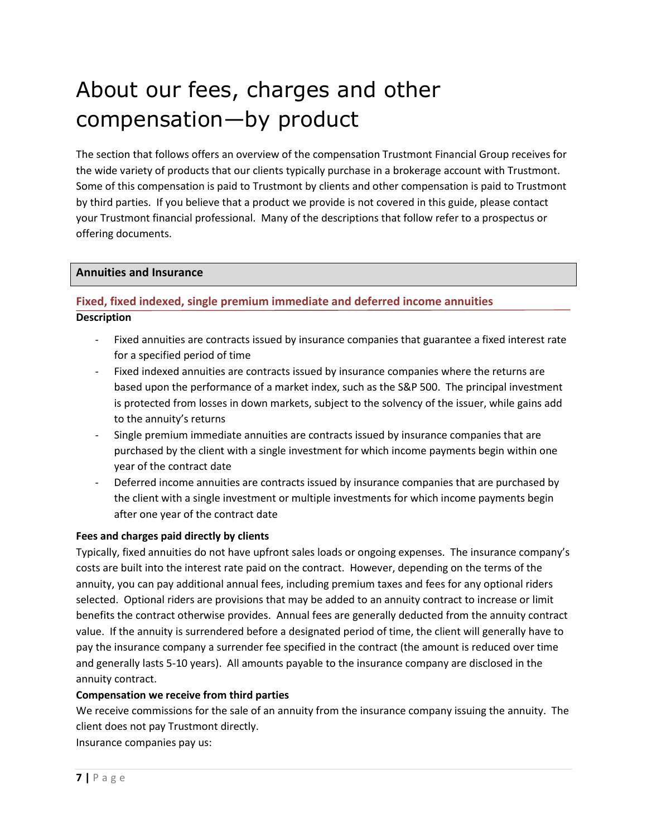## About our fees, charges and other compensation—by product

The section that follows offers an overview of the compensation Trustmont Financial Group receives for the wide variety of products that our clients typically purchase in a brokerage account with Trustmont. Some of this compensation is paid to Trustmont by clients and other compensation is paid to Trustmont by third parties. If you believe that a product we provide is not covered in this guide, please contact your Trustmont financial professional. Many of the descriptions that follow refer to a prospectus or offering documents.

## **Annuities and Insurance**

## **Fixed, fixed indexed, single premium immediate and deferred income annuities Description**

- Fixed annuities are contracts issued by insurance companies that guarantee a fixed interest rate for a specified period of time
- Fixed indexed annuities are contracts issued by insurance companies where the returns are based upon the performance of a market index, such as the S&P 500. The principal investment is protected from losses in down markets, subject to the solvency of the issuer, while gains add to the annuity's returns
- Single premium immediate annuities are contracts issued by insurance companies that are purchased by the client with a single investment for which income payments begin within one year of the contract date
- Deferred income annuities are contracts issued by insurance companies that are purchased by the client with a single investment or multiple investments for which income payments begin after one year of the contract date

## **Fees and charges paid directly by clients**

Typically, fixed annuities do not have upfront sales loads or ongoing expenses. The insurance company's costs are built into the interest rate paid on the contract. However, depending on the terms of the annuity, you can pay additional annual fees, including premium taxes and fees for any optional riders selected. Optional riders are provisions that may be added to an annuity contract to increase or limit benefits the contract otherwise provides. Annual fees are generally deducted from the annuity contract value. If the annuity is surrendered before a designated period of time, the client will generally have to pay the insurance company a surrender fee specified in the contract (the amount is reduced over time and generally lasts 5-10 years). All amounts payable to the insurance company are disclosed in the annuity contract.

## **Compensation we receive from third parties**

We receive commissions for the sale of an annuity from the insurance company issuing the annuity. The client does not pay Trustmont directly.

Insurance companies pay us: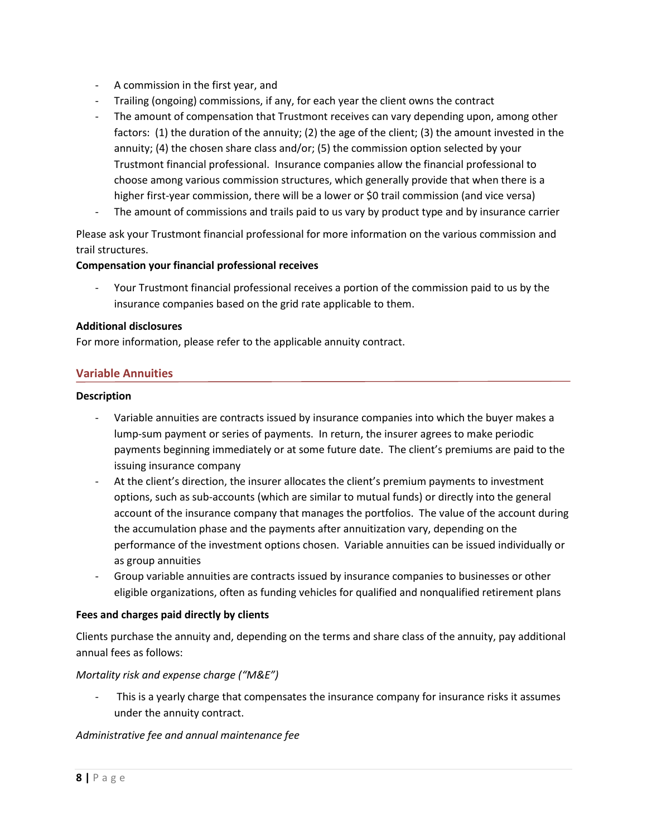- A commission in the first year, and
- Trailing (ongoing) commissions, if any, for each year the client owns the contract
- The amount of compensation that Trustmont receives can vary depending upon, among other factors: (1) the duration of the annuity; (2) the age of the client; (3) the amount invested in the annuity; (4) the chosen share class and/or; (5) the commission option selected by your Trustmont financial professional. Insurance companies allow the financial professional to choose among various commission structures, which generally provide that when there is a higher first-year commission, there will be a lower or \$0 trail commission (and vice versa)
- The amount of commissions and trails paid to us vary by product type and by insurance carrier

Please ask your Trustmont financial professional for more information on the various commission and trail structures.

## **Compensation your financial professional receives**

Your Trustmont financial professional receives a portion of the commission paid to us by the insurance companies based on the grid rate applicable to them.

## **Additional disclosures**

For more information, please refer to the applicable annuity contract.

## **Variable Annuities**

### **Description**

- Variable annuities are contracts issued by insurance companies into which the buyer makes a lump-sum payment or series of payments. In return, the insurer agrees to make periodic payments beginning immediately or at some future date. The client's premiums are paid to the issuing insurance company
- At the client's direction, the insurer allocates the client's premium payments to investment options, such as sub-accounts (which are similar to mutual funds) or directly into the general account of the insurance company that manages the portfolios. The value of the account during the accumulation phase and the payments after annuitization vary, depending on the performance of the investment options chosen. Variable annuities can be issued individually or as group annuities
- Group variable annuities are contracts issued by insurance companies to businesses or other eligible organizations, often as funding vehicles for qualified and nonqualified retirement plans

## **Fees and charges paid directly by clients**

Clients purchase the annuity and, depending on the terms and share class of the annuity, pay additional annual fees as follows:

## *Mortality risk and expense charge ("M&E")*

This is a yearly charge that compensates the insurance company for insurance risks it assumes under the annuity contract.

## *Administrative fee and annual maintenance fee*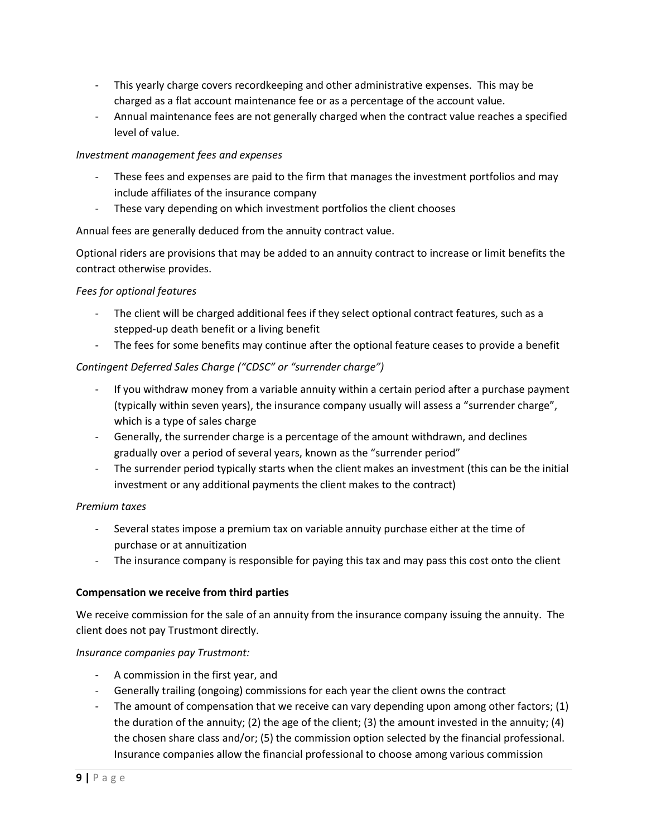- This yearly charge covers recordkeeping and other administrative expenses. This may be charged as a flat account maintenance fee or as a percentage of the account value.
- Annual maintenance fees are not generally charged when the contract value reaches a specified level of value.

## *Investment management fees and expenses*

- These fees and expenses are paid to the firm that manages the investment portfolios and may include affiliates of the insurance company
- These vary depending on which investment portfolios the client chooses

Annual fees are generally deduced from the annuity contract value.

Optional riders are provisions that may be added to an annuity contract to increase or limit benefits the contract otherwise provides.

## *Fees for optional features*

- The client will be charged additional fees if they select optional contract features, such as a stepped-up death benefit or a living benefit
- The fees for some benefits may continue after the optional feature ceases to provide a benefit

## *Contingent Deferred Sales Charge ("CDSC" or "surrender charge")*

- If you withdraw money from a variable annuity within a certain period after a purchase payment (typically within seven years), the insurance company usually will assess a "surrender charge", which is a type of sales charge
- Generally, the surrender charge is a percentage of the amount withdrawn, and declines gradually over a period of several years, known as the "surrender period"
- The surrender period typically starts when the client makes an investment (this can be the initial investment or any additional payments the client makes to the contract)

## *Premium taxes*

- Several states impose a premium tax on variable annuity purchase either at the time of purchase or at annuitization
- The insurance company is responsible for paying this tax and may pass this cost onto the client

## **Compensation we receive from third parties**

We receive commission for the sale of an annuity from the insurance company issuing the annuity. The client does not pay Trustmont directly.

## *Insurance companies pay Trustmont:*

- A commission in the first year, and
- Generally trailing (ongoing) commissions for each year the client owns the contract
- The amount of compensation that we receive can vary depending upon among other factors; (1) the duration of the annuity; (2) the age of the client; (3) the amount invested in the annuity; (4) the chosen share class and/or; (5) the commission option selected by the financial professional. Insurance companies allow the financial professional to choose among various commission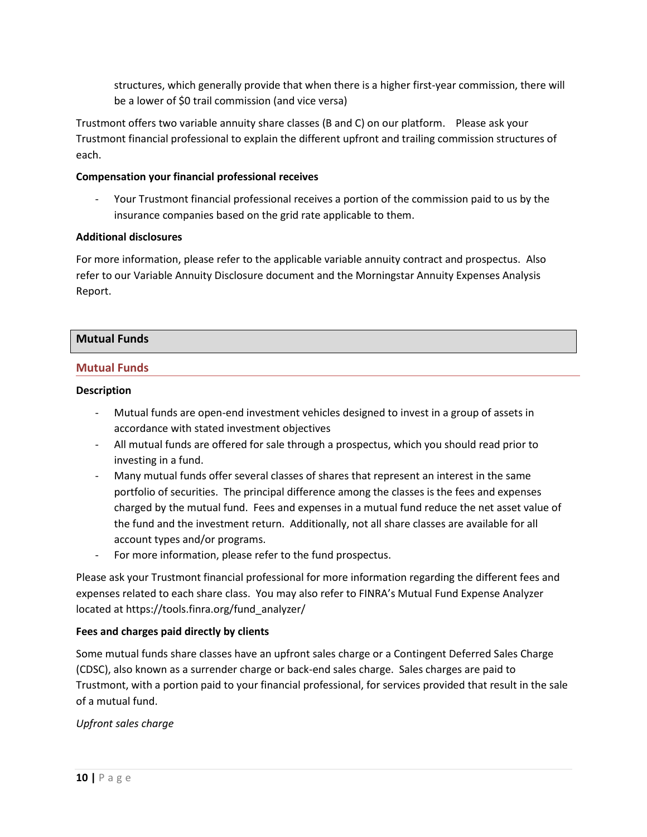structures, which generally provide that when there is a higher first-year commission, there will be a lower of \$0 trail commission (and vice versa)

Trustmont offers two variable annuity share classes (B and C) on our platform. Please ask your Trustmont financial professional to explain the different upfront and trailing commission structures of each.

## **Compensation your financial professional receives**

- Your Trustmont financial professional receives a portion of the commission paid to us by the insurance companies based on the grid rate applicable to them.

### **Additional disclosures**

For more information, please refer to the applicable variable annuity contract and prospectus. Also refer to our Variable Annuity Disclosure document and the Morningstar Annuity Expenses Analysis Report.

## **Mutual Funds**

### **Mutual Funds**

### **Description**

- Mutual funds are open-end investment vehicles designed to invest in a group of assets in accordance with stated investment objectives
- All mutual funds are offered for sale through a prospectus, which you should read prior to investing in a fund.
- Many mutual funds offer several classes of shares that represent an interest in the same portfolio of securities. The principal difference among the classes is the fees and expenses charged by the mutual fund. Fees and expenses in a mutual fund reduce the net asset value of the fund and the investment return. Additionally, not all share classes are available for all account types and/or programs.
- For more information, please refer to the fund prospectus.

Please ask your Trustmont financial professional for more information regarding the different fees and expenses related to each share class. You may also refer to FINRA's Mutual Fund Expense Analyzer located at https://tools.finra.org/fund\_analyzer/

## **Fees and charges paid directly by clients**

Some mutual funds share classes have an upfront sales charge or a Contingent Deferred Sales Charge (CDSC), also known as a surrender charge or back-end sales charge. Sales charges are paid to Trustmont, with a portion paid to your financial professional, for services provided that result in the sale of a mutual fund.

## *Upfront sales charge*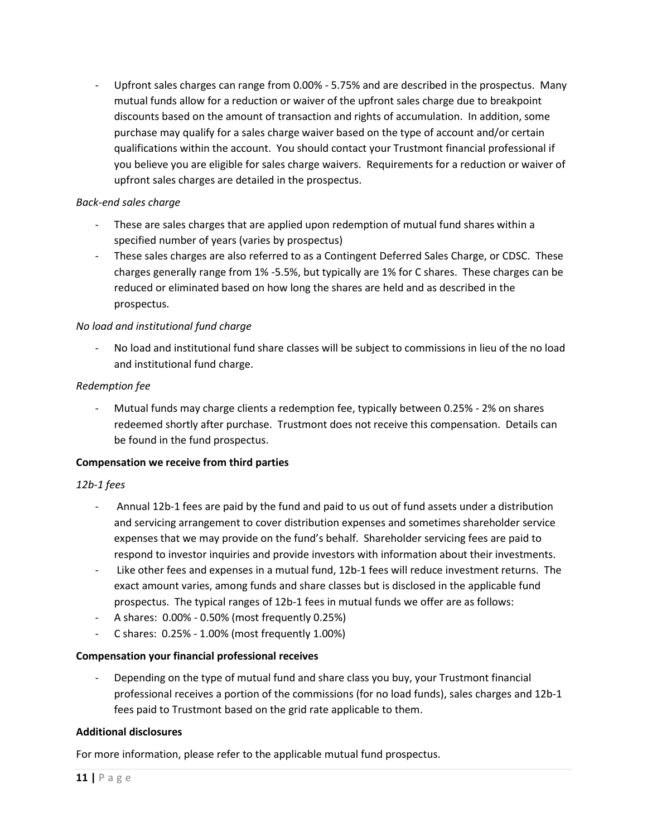Upfront sales charges can range from 0.00% - 5.75% and are described in the prospectus. Many mutual funds allow for a reduction or waiver of the upfront sales charge due to breakpoint discounts based on the amount of transaction and rights of accumulation. In addition, some purchase may qualify for a sales charge waiver based on the type of account and/or certain qualifications within the account. You should contact your Trustmont financial professional if you believe you are eligible for sales charge waivers. Requirements for a reduction or waiver of upfront sales charges are detailed in the prospectus.

## *Back-end sales charge*

- These are sales charges that are applied upon redemption of mutual fund shares within a specified number of years (varies by prospectus)
- These sales charges are also referred to as a Contingent Deferred Sales Charge, or CDSC. These charges generally range from 1% -5.5%, but typically are 1% for C shares. These charges can be reduced or eliminated based on how long the shares are held and as described in the prospectus.

## *No load and institutional fund charge*

No load and institutional fund share classes will be subject to commissions in lieu of the no load and institutional fund charge.

## *Redemption fee*

Mutual funds may charge clients a redemption fee, typically between 0.25% - 2% on shares redeemed shortly after purchase. Trustmont does not receive this compensation. Details can be found in the fund prospectus.

## **Compensation we receive from third parties**

## *12b-1 fees*

- Annual 12b-1 fees are paid by the fund and paid to us out of fund assets under a distribution and servicing arrangement to cover distribution expenses and sometimes shareholder service expenses that we may provide on the fund's behalf. Shareholder servicing fees are paid to respond to investor inquiries and provide investors with information about their investments.
- Like other fees and expenses in a mutual fund, 12b-1 fees will reduce investment returns. The exact amount varies, among funds and share classes but is disclosed in the applicable fund prospectus. The typical ranges of 12b-1 fees in mutual funds we offer are as follows:
- A shares: 0.00% 0.50% (most frequently 0.25%)
- C shares: 0.25% 1.00% (most frequently 1.00%)

## **Compensation your financial professional receives**

Depending on the type of mutual fund and share class you buy, your Trustmont financial professional receives a portion of the commissions (for no load funds), sales charges and 12b-1 fees paid to Trustmont based on the grid rate applicable to them.

## **Additional disclosures**

For more information, please refer to the applicable mutual fund prospectus.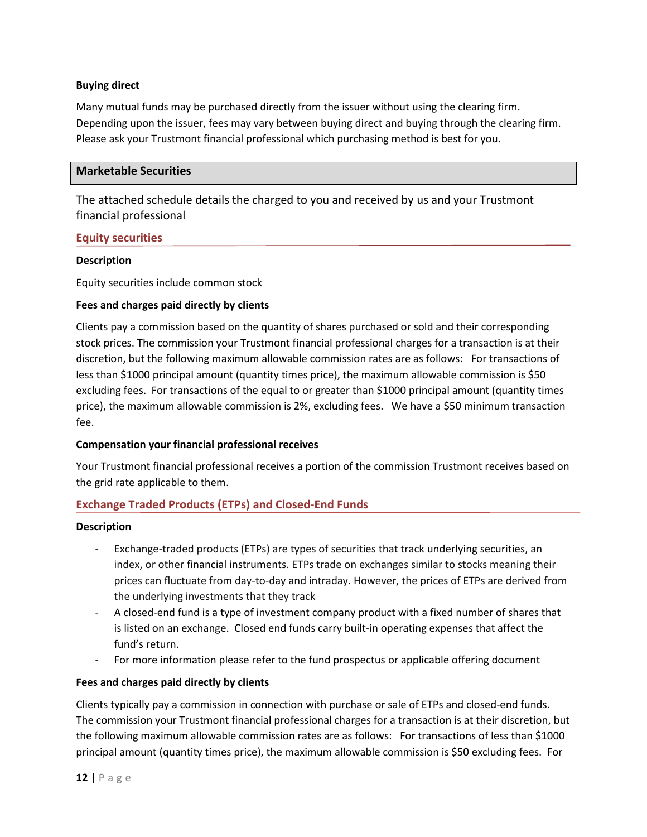## **Buying direct**

Many mutual funds may be purchased directly from the issuer without using the clearing firm. Depending upon the issuer, fees may vary between buying direct and buying through the clearing firm. Please ask your Trustmont financial professional which purchasing method is best for you.

## **Marketable Securities**

The attached schedule details the charged to you and received by us and your Trustmont financial professional

## **Equity securities**

### **Description**

Equity securities include common stock

### **Fees and charges paid directly by clients**

Clients pay a commission based on the quantity of shares purchased or sold and their corresponding stock prices. The commission your Trustmont financial professional charges for a transaction is at their discretion, but the following maximum allowable commission rates are as follows: For transactions of less than \$1000 principal amount (quantity times price), the maximum allowable commission is \$50 excluding fees. For transactions of the equal to or greater than \$1000 principal amount (quantity times price), the maximum allowable commission is 2%, excluding fees. We have a \$50 minimum transaction fee.

#### **Compensation your financial professional receives**

Your Trustmont financial professional receives a portion of the commission Trustmont receives based on the grid rate applicable to them.

## **Exchange Traded Products (ETPs) and Closed-End Funds**

#### **Description**

- Exchange-traded products (ETPs) are types of securities that track underlying securities, an index, or other financial instruments. ETPs trade on exchanges similar to stocks meaning their prices can fluctuate from day-to-day and intraday. However, the prices of ETPs are derived from the underlying investments that they track
- A closed-end fund is a type of investment company product with a fixed number of shares that is listed on an exchange. Closed end funds carry built-in operating expenses that affect the fund's return.
- For more information please refer to the fund prospectus or applicable offering document

## **Fees and charges paid directly by clients**

Clients typically pay a commission in connection with purchase or sale of ETPs and closed-end funds. The commission your Trustmont financial professional charges for a transaction is at their discretion, but the following maximum allowable commission rates are as follows: For transactions of less than \$1000 principal amount (quantity times price), the maximum allowable commission is \$50 excluding fees. For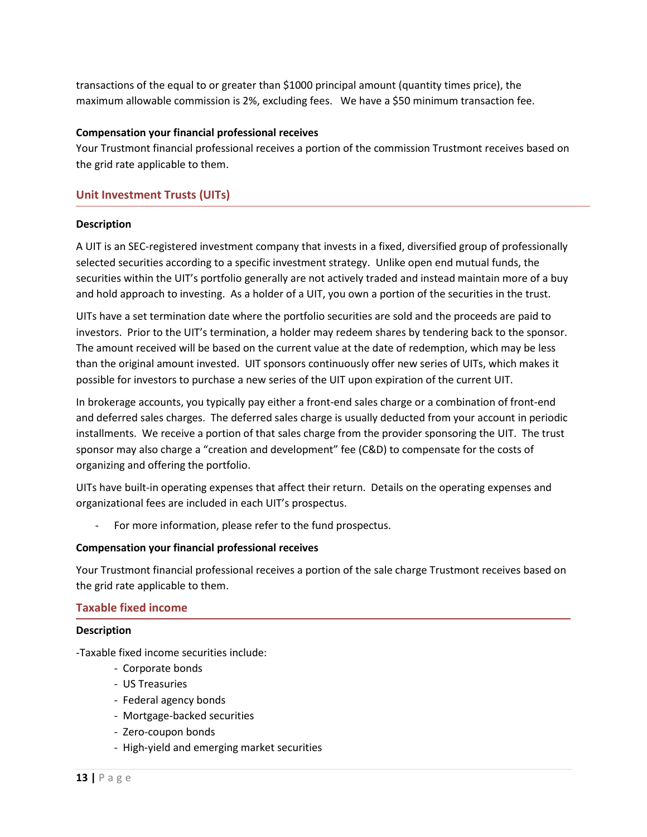transactions of the equal to or greater than \$1000 principal amount (quantity times price), the maximum allowable commission is 2%, excluding fees. We have a \$50 minimum transaction fee.

### **Compensation your financial professional receives**

Your Trustmont financial professional receives a portion of the commission Trustmont receives based on the grid rate applicable to them.

## **Unit Investment Trusts (UITs)**

### **Description**

A UIT is an SEC-registered investment company that invests in a fixed, diversified group of professionally selected securities according to a specific investment strategy. Unlike open end mutual funds, the securities within the UIT's portfolio generally are not actively traded and instead maintain more of a buy and hold approach to investing. As a holder of a UIT, you own a portion of the securities in the trust.

UITs have a set termination date where the portfolio securities are sold and the proceeds are paid to investors. Prior to the UIT's termination, a holder may redeem shares by tendering back to the sponsor. The amount received will be based on the current value at the date of redemption, which may be less than the original amount invested. UIT sponsors continuously offer new series of UITs, which makes it possible for investors to purchase a new series of the UIT upon expiration of the current UIT.

In brokerage accounts, you typically pay either a front-end sales charge or a combination of front-end and deferred sales charges. The deferred sales charge is usually deducted from your account in periodic installments. We receive a portion of that sales charge from the provider sponsoring the UIT. The trust sponsor may also charge a "creation and development" fee (C&D) to compensate for the costs of organizing and offering the portfolio.

UITs have built-in operating expenses that affect their return. Details on the operating expenses and organizational fees are included in each UIT's prospectus.

For more information, please refer to the fund prospectus.

#### **Compensation your financial professional receives**

Your Trustmont financial professional receives a portion of the sale charge Trustmont receives based on the grid rate applicable to them.

## **Taxable fixed income**

#### **Description**

-Taxable fixed income securities include:

- Corporate bonds
- US Treasuries
- Federal agency bonds
- Mortgage-backed securities
- Zero-coupon bonds
- High-yield and emerging market securities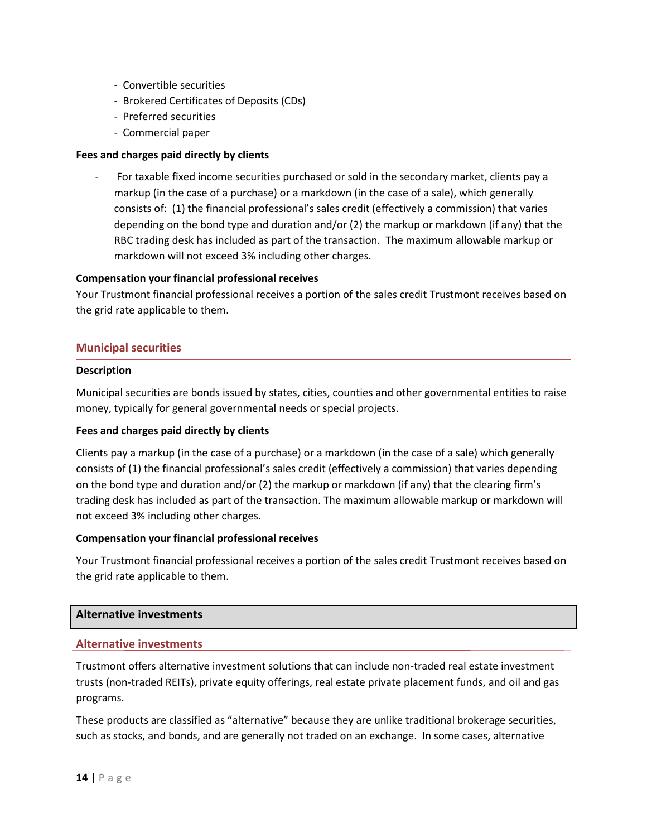- Convertible securities
- Brokered Certificates of Deposits (CDs)
- Preferred securities
- Commercial paper

## **Fees and charges paid directly by clients**

For taxable fixed income securities purchased or sold in the secondary market, clients pay a markup (in the case of a purchase) or a markdown (in the case of a sale), which generally consists of: (1) the financial professional's sales credit (effectively a commission) that varies depending on the bond type and duration and/or (2) the markup or markdown (if any) that the RBC trading desk has included as part of the transaction. The maximum allowable markup or markdown will not exceed 3% including other charges.

### **Compensation your financial professional receives**

Your Trustmont financial professional receives a portion of the sales credit Trustmont receives based on the grid rate applicable to them.

### **Municipal securities**

#### **Description**

Municipal securities are bonds issued by states, cities, counties and other governmental entities to raise money, typically for general governmental needs or special projects.

#### **Fees and charges paid directly by clients**

Clients pay a markup (in the case of a purchase) or a markdown (in the case of a sale) which generally consists of (1) the financial professional's sales credit (effectively a commission) that varies depending on the bond type and duration and/or (2) the markup or markdown (if any) that the clearing firm's trading desk has included as part of the transaction. The maximum allowable markup or markdown will not exceed 3% including other charges.

#### **Compensation your financial professional receives**

Your Trustmont financial professional receives a portion of the sales credit Trustmont receives based on the grid rate applicable to them.

#### **Alternative investments**

#### **Alternative investments**

Trustmont offers alternative investment solutions that can include non-traded real estate investment trusts (non-traded REITs), private equity offerings, real estate private placement funds, and oil and gas programs.

These products are classified as "alternative" because they are unlike traditional brokerage securities, such as stocks, and bonds, and are generally not traded on an exchange. In some cases, alternative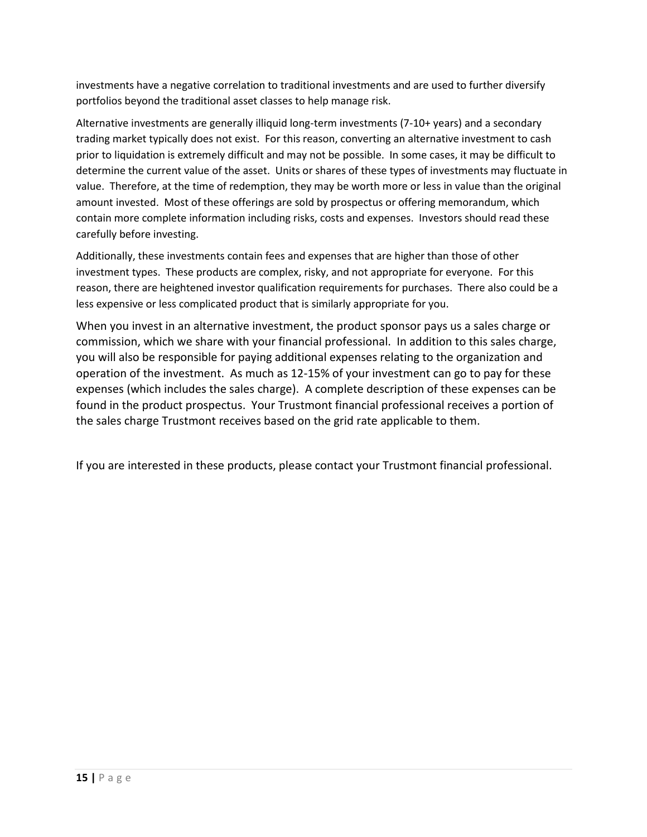investments have a negative correlation to traditional investments and are used to further diversify portfolios beyond the traditional asset classes to help manage risk.

Alternative investments are generally illiquid long-term investments (7-10+ years) and a secondary trading market typically does not exist. For this reason, converting an alternative investment to cash prior to liquidation is extremely difficult and may not be possible. In some cases, it may be difficult to determine the current value of the asset. Units or shares of these types of investments may fluctuate in value. Therefore, at the time of redemption, they may be worth more or less in value than the original amount invested. Most of these offerings are sold by prospectus or offering memorandum, which contain more complete information including risks, costs and expenses. Investors should read these carefully before investing.

Additionally, these investments contain fees and expenses that are higher than those of other investment types. These products are complex, risky, and not appropriate for everyone. For this reason, there are heightened investor qualification requirements for purchases. There also could be a less expensive or less complicated product that is similarly appropriate for you.

When you invest in an alternative investment, the product sponsor pays us a sales charge or commission, which we share with your financial professional. In addition to this sales charge, you will also be responsible for paying additional expenses relating to the organization and operation of the investment. As much as 12-15% of your investment can go to pay for these expenses (which includes the sales charge). A complete description of these expenses can be found in the product prospectus. Your Trustmont financial professional receives a portion of the sales charge Trustmont receives based on the grid rate applicable to them.

If you are interested in these products, please contact your Trustmont financial professional.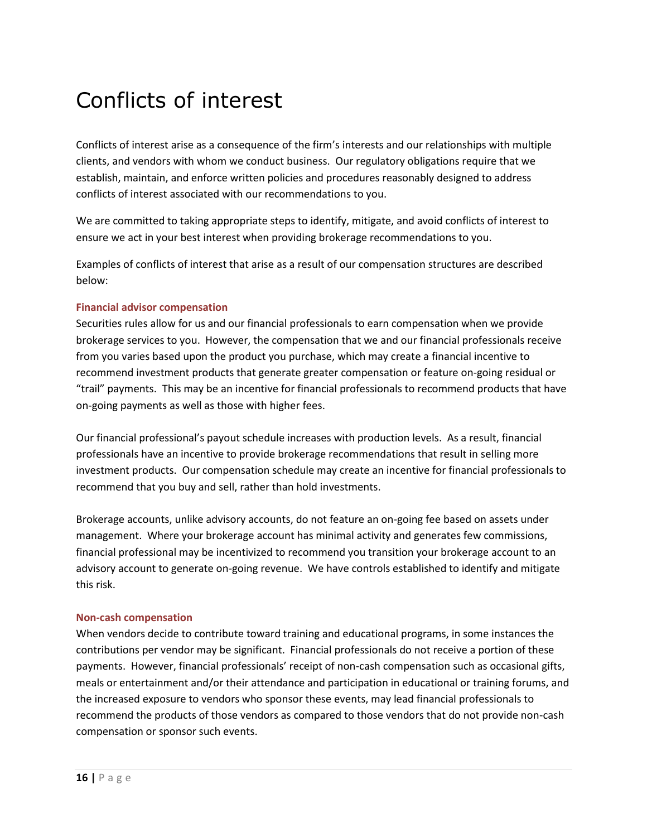## Conflicts of interest

Conflicts of interest arise as a consequence of the firm's interests and our relationships with multiple clients, and vendors with whom we conduct business. Our regulatory obligations require that we establish, maintain, and enforce written policies and procedures reasonably designed to address conflicts of interest associated with our recommendations to you.

We are committed to taking appropriate steps to identify, mitigate, and avoid conflicts of interest to ensure we act in your best interest when providing brokerage recommendations to you.

Examples of conflicts of interest that arise as a result of our compensation structures are described below:

## **Financial advisor compensation**

Securities rules allow for us and our financial professionals to earn compensation when we provide brokerage services to you. However, the compensation that we and our financial professionals receive from you varies based upon the product you purchase, which may create a financial incentive to recommend investment products that generate greater compensation or feature on-going residual or "trail" payments. This may be an incentive for financial professionals to recommend products that have on-going payments as well as those with higher fees.

Our financial professional's payout schedule increases with production levels. As a result, financial professionals have an incentive to provide brokerage recommendations that result in selling more investment products. Our compensation schedule may create an incentive for financial professionals to recommend that you buy and sell, rather than hold investments.

Brokerage accounts, unlike advisory accounts, do not feature an on-going fee based on assets under management. Where your brokerage account has minimal activity and generates few commissions, financial professional may be incentivized to recommend you transition your brokerage account to an advisory account to generate on-going revenue. We have controls established to identify and mitigate this risk.

## **Non-cash compensation**

When vendors decide to contribute toward training and educational programs, in some instances the contributions per vendor may be significant. Financial professionals do not receive a portion of these payments. However, financial professionals' receipt of non-cash compensation such as occasional gifts, meals or entertainment and/or their attendance and participation in educational or training forums, and the increased exposure to vendors who sponsor these events, may lead financial professionals to recommend the products of those vendors as compared to those vendors that do not provide non-cash compensation or sponsor such events.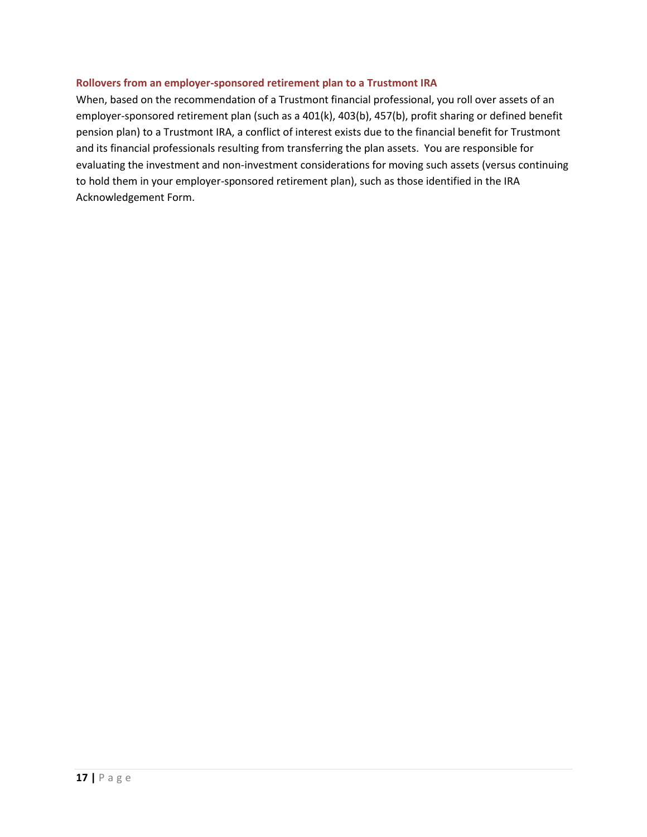## **Rollovers from an employer-sponsored retirement plan to a Trustmont IRA**

When, based on the recommendation of a Trustmont financial professional, you roll over assets of an employer-sponsored retirement plan (such as a 401(k), 403(b), 457(b), profit sharing or defined benefit pension plan) to a Trustmont IRA, a conflict of interest exists due to the financial benefit for Trustmont and its financial professionals resulting from transferring the plan assets. You are responsible for evaluating the investment and non-investment considerations for moving such assets (versus continuing to hold them in your employer-sponsored retirement plan), such as those identified in the IRA Acknowledgement Form.